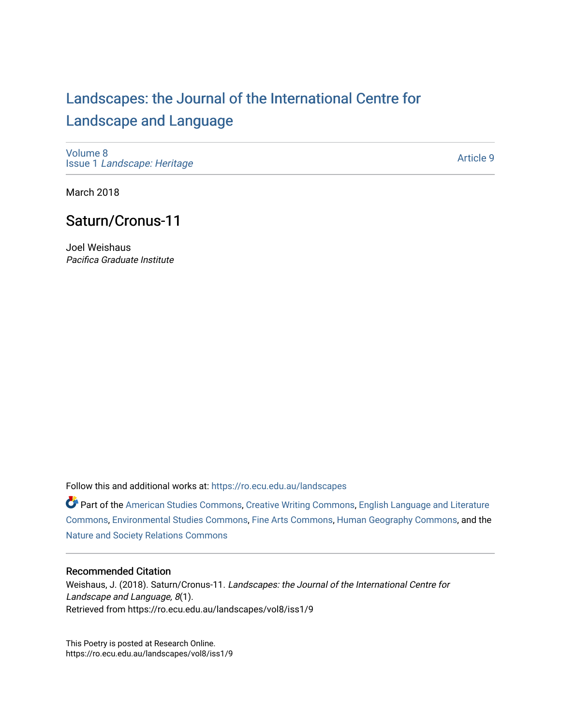# [Landscapes: the Journal of the International Centre for](https://ro.ecu.edu.au/landscapes) [Landscape and Language](https://ro.ecu.edu.au/landscapes)

[Volume 8](https://ro.ecu.edu.au/landscapes/vol8) Issue 1 [Landscape: Heritage](https://ro.ecu.edu.au/landscapes/vol8/iss1)

[Article 9](https://ro.ecu.edu.au/landscapes/vol8/iss1/9) 

March 2018

## Saturn/Cronus-11

Joel Weishaus Pacifica Graduate Institute

Follow this and additional works at: [https://ro.ecu.edu.au/landscapes](https://ro.ecu.edu.au/landscapes?utm_source=ro.ecu.edu.au%2Flandscapes%2Fvol8%2Fiss1%2F9&utm_medium=PDF&utm_campaign=PDFCoverPages) 

Part of the [American Studies Commons](http://network.bepress.com/hgg/discipline/439?utm_source=ro.ecu.edu.au%2Flandscapes%2Fvol8%2Fiss1%2F9&utm_medium=PDF&utm_campaign=PDFCoverPages), [Creative Writing Commons](http://network.bepress.com/hgg/discipline/574?utm_source=ro.ecu.edu.au%2Flandscapes%2Fvol8%2Fiss1%2F9&utm_medium=PDF&utm_campaign=PDFCoverPages), [English Language and Literature](http://network.bepress.com/hgg/discipline/455?utm_source=ro.ecu.edu.au%2Flandscapes%2Fvol8%2Fiss1%2F9&utm_medium=PDF&utm_campaign=PDFCoverPages) [Commons](http://network.bepress.com/hgg/discipline/455?utm_source=ro.ecu.edu.au%2Flandscapes%2Fvol8%2Fiss1%2F9&utm_medium=PDF&utm_campaign=PDFCoverPages), [Environmental Studies Commons,](http://network.bepress.com/hgg/discipline/1333?utm_source=ro.ecu.edu.au%2Flandscapes%2Fvol8%2Fiss1%2F9&utm_medium=PDF&utm_campaign=PDFCoverPages) [Fine Arts Commons](http://network.bepress.com/hgg/discipline/1141?utm_source=ro.ecu.edu.au%2Flandscapes%2Fvol8%2Fiss1%2F9&utm_medium=PDF&utm_campaign=PDFCoverPages), [Human Geography Commons](http://network.bepress.com/hgg/discipline/356?utm_source=ro.ecu.edu.au%2Flandscapes%2Fvol8%2Fiss1%2F9&utm_medium=PDF&utm_campaign=PDFCoverPages), and the [Nature and Society Relations Commons](http://network.bepress.com/hgg/discipline/357?utm_source=ro.ecu.edu.au%2Flandscapes%2Fvol8%2Fiss1%2F9&utm_medium=PDF&utm_campaign=PDFCoverPages) 

#### Recommended Citation

Weishaus, J. (2018). Saturn/Cronus-11. Landscapes: the Journal of the International Centre for Landscape and Language, 8(1). Retrieved from https://ro.ecu.edu.au/landscapes/vol8/iss1/9

This Poetry is posted at Research Online. https://ro.ecu.edu.au/landscapes/vol8/iss1/9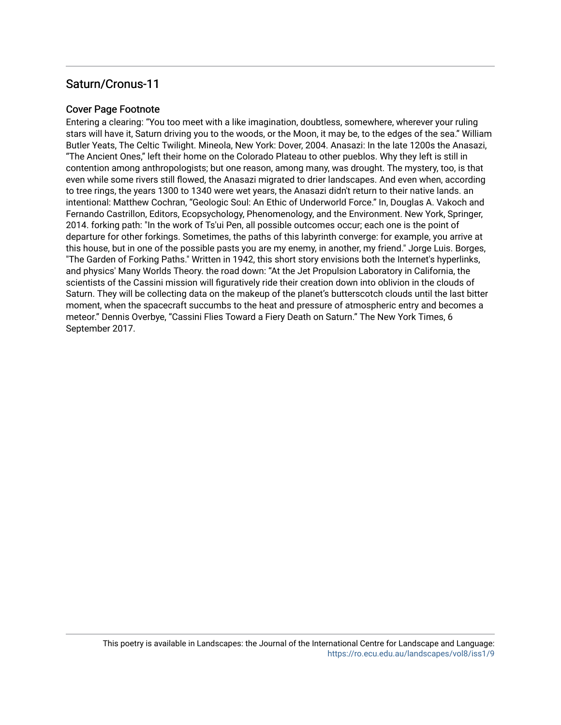### Saturn/Cronus-11

#### Cover Page Footnote

Entering a clearing: "You too meet with a like imagination, doubtless, somewhere, wherever your ruling stars will have it, Saturn driving you to the woods, or the Moon, it may be, to the edges of the sea." William Butler Yeats, The Celtic Twilight. Mineola, New York: Dover, 2004. Anasazi: In the late 1200s the Anasazi, "The Ancient Ones," left their home on the Colorado Plateau to other pueblos. Why they left is still in contention among anthropologists; but one reason, among many, was drought. The mystery, too, is that even while some rivers still flowed, the Anasazi migrated to drier landscapes. And even when, according to tree rings, the years 1300 to 1340 were wet years, the Anasazi didn't return to their native lands. an intentional: Matthew Cochran, "Geologic Soul: An Ethic of Underworld Force." In, Douglas A. Vakoch and Fernando Castrillon, Editors, Ecopsychology, Phenomenology, and the Environment. New York, Springer, 2014. forking path: "In the work of Ts'ui Pen, all possible outcomes occur; each one is the point of departure for other forkings. Sometimes, the paths of this labyrinth converge: for example, you arrive at this house, but in one of the possible pasts you are my enemy, in another, my friend." Jorge Luis. Borges, "The Garden of Forking Paths." Written in 1942, this short story envisions both the Internet's hyperlinks, and physics' Many Worlds Theory. the road down: "At the Jet Propulsion Laboratory in California, the scientists of the Cassini mission will figuratively ride their creation down into oblivion in the clouds of Saturn. They will be collecting data on the makeup of the planet's butterscotch clouds until the last bitter moment, when the spacecraft succumbs to the heat and pressure of atmospheric entry and becomes a meteor." Dennis Overbye, "Cassini Flies Toward a Fiery Death on Saturn." The New York Times, 6 September 2017.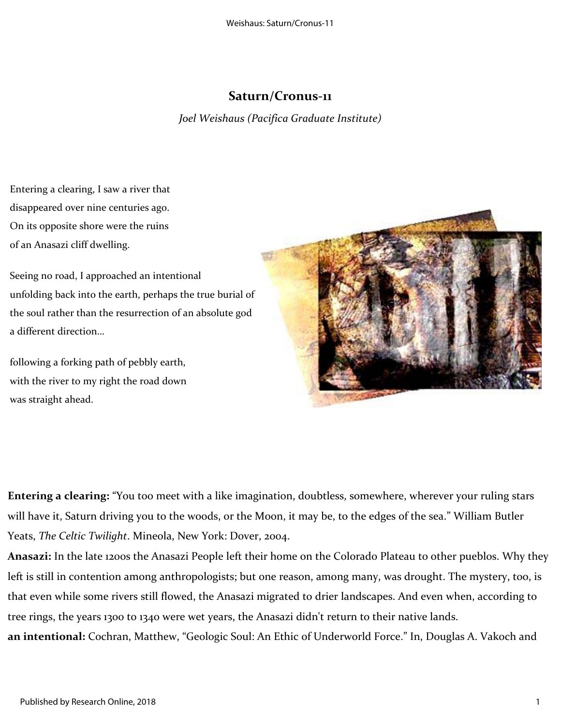## **Saturn/Cronus-11**

*Joel Weishaus (Pacifica Graduate Institute)*

Entering a clearing, I saw a river that disappeared over nine centuries ago. On its opposite shore were the ruins of an Anasazi cliff dwelling.

Seeing no road, I approached an intentional unfolding back into the earth, perhaps the true burial of the soul rather than the resurrection of an absolute god a different direction…

following a forking path of pebbly earth, with the river to my right the road down was straight ahead.



**Entering a clearing:** "You too meet with a like imagination, doubtless, somewhere, wherever your ruling stars will have it, Saturn driving you to the woods, or the Moon, it may be, to the edges of the sea." William Butler Yeats, *The Celtic Twilight*. Mineola, New York: Dover, 2004.

**Anasazi:** In the late 1200s the Anasazi People left their home on the Colorado Plateau to other pueblos. Why they left is still in contention among anthropologists; but one reason, among many, was drought. The mystery, too, is that even while some rivers still flowed, the Anasazi migrated to drier landscapes. And even when, according to tree rings, the years 1300 to 1340 were wet years, the Anasazi didn't return to their native lands. **an intentional:** Cochran, Matthew, "Geologic Soul: An Ethic of Underworld Force." In, Douglas A. Vakoch and